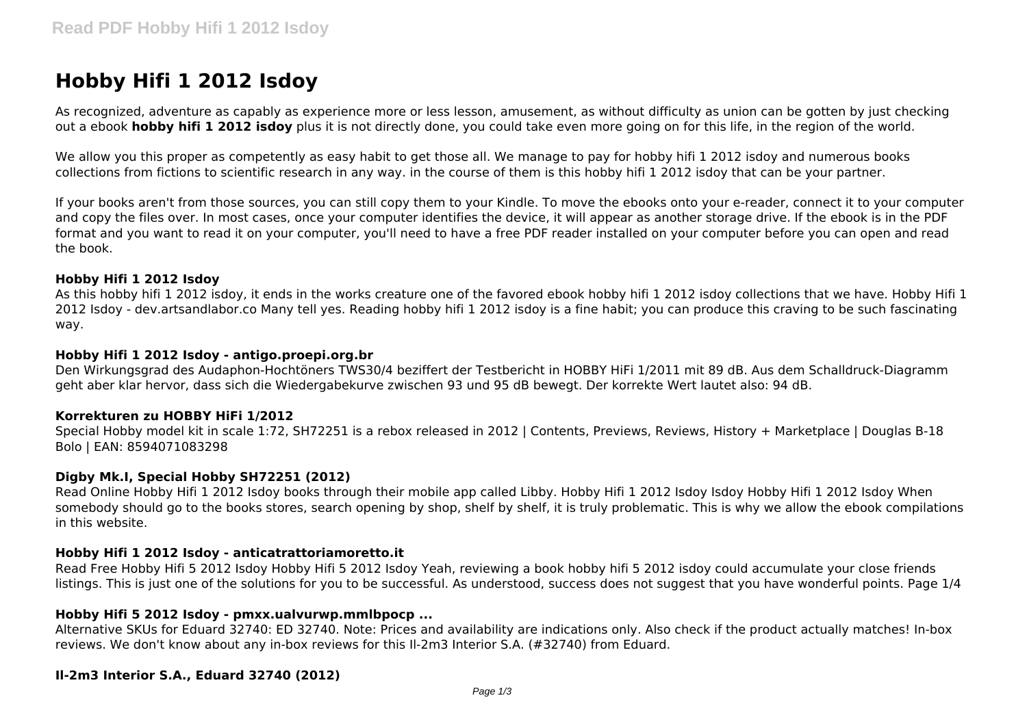# **Hobby Hifi 1 2012 Isdoy**

As recognized, adventure as capably as experience more or less lesson, amusement, as without difficulty as union can be gotten by just checking out a ebook **hobby hifi 1 2012 isdoy** plus it is not directly done, you could take even more going on for this life, in the region of the world.

We allow you this proper as competently as easy habit to get those all. We manage to pay for hobby hifi 1 2012 isdoy and numerous books collections from fictions to scientific research in any way. in the course of them is this hobby hifi 1 2012 isdoy that can be your partner.

If your books aren't from those sources, you can still copy them to your Kindle. To move the ebooks onto your e-reader, connect it to your computer and copy the files over. In most cases, once your computer identifies the device, it will appear as another storage drive. If the ebook is in the PDF format and you want to read it on your computer, you'll need to have a free PDF reader installed on your computer before you can open and read the book.

#### **Hobby Hifi 1 2012 Isdoy**

As this hobby hifi 1 2012 isdoy, it ends in the works creature one of the favored ebook hobby hifi 1 2012 isdoy collections that we have. Hobby Hifi 1 2012 Isdoy - dev.artsandlabor.co Many tell yes. Reading hobby hifi 1 2012 isdoy is a fine habit; you can produce this craving to be such fascinating way.

#### **Hobby Hifi 1 2012 Isdoy - antigo.proepi.org.br**

Den Wirkungsgrad des Audaphon-Hochtöners TWS30/4 beziffert der Testbericht in HOBBY HiFi 1/2011 mit 89 dB. Aus dem Schalldruck-Diagramm geht aber klar hervor, dass sich die Wiedergabekurve zwischen 93 und 95 dB bewegt. Der korrekte Wert lautet also: 94 dB.

## **Korrekturen zu HOBBY HiFi 1/2012**

Special Hobby model kit in scale 1:72, SH72251 is a rebox released in 2012 | Contents, Previews, Reviews, History + Marketplace | Douglas B-18 Bolo | EAN: 8594071083298

## **Digby Mk.I, Special Hobby SH72251 (2012)**

Read Online Hobby Hifi 1 2012 Isdoy books through their mobile app called Libby. Hobby Hifi 1 2012 Isdoy Isdoy Hobby Hifi 1 2012 Isdoy When somebody should go to the books stores, search opening by shop, shelf by shelf, it is truly problematic. This is why we allow the ebook compilations in this website.

## **Hobby Hifi 1 2012 Isdoy - anticatrattoriamoretto.it**

Read Free Hobby Hifi 5 2012 Isdoy Hobby Hifi 5 2012 Isdoy Yeah, reviewing a book hobby hifi 5 2012 isdoy could accumulate your close friends listings. This is just one of the solutions for you to be successful. As understood, success does not suggest that you have wonderful points. Page 1/4

## **Hobby Hifi 5 2012 Isdoy - pmxx.ualvurwp.mmlbpocp ...**

Alternative SKUs for Eduard 32740: ED 32740. Note: Prices and availability are indications only. Also check if the product actually matches! In-box reviews. We don't know about any in-box reviews for this Il-2m3 Interior S.A. (#32740) from Eduard.

## **Il-2m3 Interior S.A., Eduard 32740 (2012)**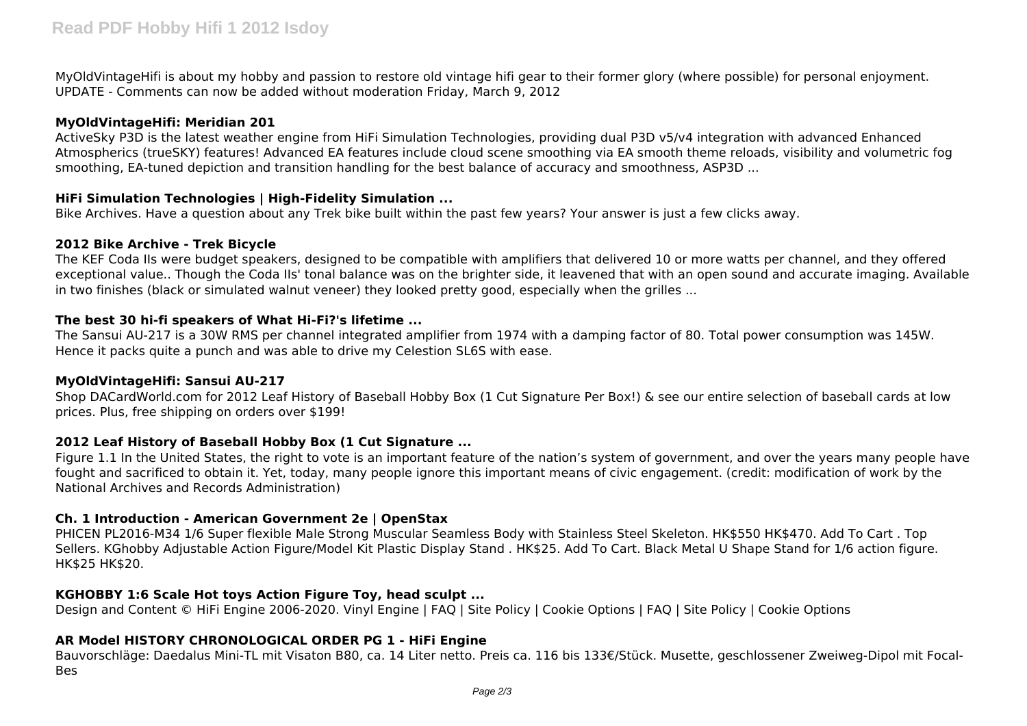MyOldVintageHifi is about my hobby and passion to restore old vintage hifi gear to their former glory (where possible) for personal enjoyment. UPDATE - Comments can now be added without moderation Friday, March 9, 2012

## **MyOldVintageHifi: Meridian 201**

ActiveSky P3D is the latest weather engine from HiFi Simulation Technologies, providing dual P3D v5/v4 integration with advanced Enhanced Atmospherics (trueSKY) features! Advanced EA features include cloud scene smoothing via EA smooth theme reloads, visibility and volumetric fog smoothing, EA-tuned depiction and transition handling for the best balance of accuracy and smoothness, ASP3D ...

# **HiFi Simulation Technologies | High-Fidelity Simulation ...**

Bike Archives. Have a question about any Trek bike built within the past few years? Your answer is just a few clicks away.

## **2012 Bike Archive - Trek Bicycle**

The KEF Coda IIs were budget speakers, designed to be compatible with amplifiers that delivered 10 or more watts per channel, and they offered exceptional value.. Though the Coda IIs' tonal balance was on the brighter side, it leavened that with an open sound and accurate imaging. Available in two finishes (black or simulated walnut veneer) they looked pretty good, especially when the grilles ...

## **The best 30 hi-fi speakers of What Hi-Fi?'s lifetime ...**

The Sansui AU-217 is a 30W RMS per channel integrated amplifier from 1974 with a damping factor of 80. Total power consumption was 145W. Hence it packs quite a punch and was able to drive my Celestion SL6S with ease.

# **MyOldVintageHifi: Sansui AU-217**

Shop DACardWorld.com for 2012 Leaf History of Baseball Hobby Box (1 Cut Signature Per Box!) & see our entire selection of baseball cards at low prices. Plus, free shipping on orders over \$199!

# **2012 Leaf History of Baseball Hobby Box (1 Cut Signature ...**

Figure 1.1 In the United States, the right to vote is an important feature of the nation's system of government, and over the years many people have fought and sacrificed to obtain it. Yet, today, many people ignore this important means of civic engagement. (credit: modification of work by the National Archives and Records Administration)

# **Ch. 1 Introduction - American Government 2e | OpenStax**

PHICEN PL2016-M34 1/6 Super flexible Male Strong Muscular Seamless Body with Stainless Steel Skeleton. HK\$550 HK\$470. Add To Cart . Top Sellers. KGhobby Adjustable Action Figure/Model Kit Plastic Display Stand . HK\$25. Add To Cart. Black Metal U Shape Stand for 1/6 action figure. HK\$25 HK\$20.

# **KGHOBBY 1:6 Scale Hot toys Action Figure Toy, head sculpt ...**

Design and Content © HiFi Engine 2006-2020. Vinyl Engine | FAQ | Site Policy | Cookie Options | FAQ | Site Policy | Cookie Options

# **AR Model HISTORY CHRONOLOGICAL ORDER PG 1 - HiFi Engine**

Bauvorschläge: Daedalus Mini-TL mit Visaton B80, ca. 14 Liter netto. Preis ca. 116 bis 133€/Stück. Musette, geschlossener Zweiweg-Dipol mit Focal-Bes